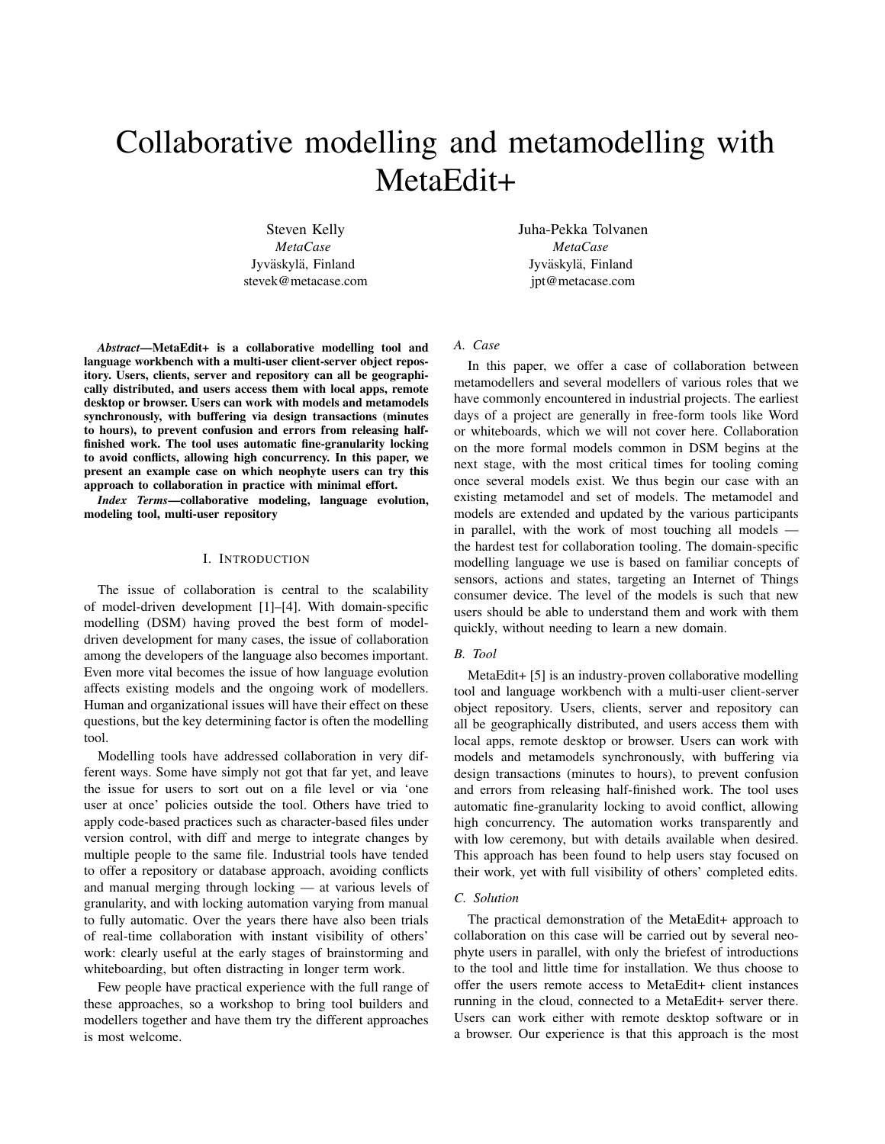# Collaborative modelling and metamodelling with MetaEdit+

Steven Kelly *MetaCase* Jyväskylä, Finland stevek@metacase.com Juha-Pekka Tolvanen *MetaCase* Jyväskylä, Finland jpt@metacase.com

*Abstract*—MetaEdit+ is a collaborative modelling tool and language workbench with a multi-user client-server object repository. Users, clients, server and repository can all be geographically distributed, and users access them with local apps, remote desktop or browser. Users can work with models and metamodels synchronously, with buffering via design transactions (minutes to hours), to prevent confusion and errors from releasing halffinished work. The tool uses automatic fine-granularity locking to avoid conflicts, allowing high concurrency. In this paper, we present an example case on which neophyte users can try this approach to collaboration in practice with minimal effort.

*Index Terms*—collaborative modeling, language evolution, modeling tool, multi-user repository

## I. INTRODUCTION

The issue of collaboration is central to the scalability of model-driven development [1]–[4]. With domain-specific modelling (DSM) having proved the best form of modeldriven development for many cases, the issue of collaboration among the developers of the language also becomes important. Even more vital becomes the issue of how language evolution affects existing models and the ongoing work of modellers. Human and organizational issues will have their effect on these questions, but the key determining factor is often the modelling tool.

Modelling tools have addressed collaboration in very different ways. Some have simply not got that far yet, and leave the issue for users to sort out on a file level or via 'one user at once' policies outside the tool. Others have tried to apply code-based practices such as character-based files under version control, with diff and merge to integrate changes by multiple people to the same file. Industrial tools have tended to offer a repository or database approach, avoiding conflicts and manual merging through locking — at various levels of granularity, and with locking automation varying from manual to fully automatic. Over the years there have also been trials of real-time collaboration with instant visibility of others' work: clearly useful at the early stages of brainstorming and whiteboarding, but often distracting in longer term work.

Few people have practical experience with the full range of these approaches, so a workshop to bring tool builders and modellers together and have them try the different approaches is most welcome.

# *A. Case*

In this paper, we offer a case of collaboration between metamodellers and several modellers of various roles that we have commonly encountered in industrial projects. The earliest days of a project are generally in free-form tools like Word or whiteboards, which we will not cover here. Collaboration on the more formal models common in DSM begins at the next stage, with the most critical times for tooling coming once several models exist. We thus begin our case with an existing metamodel and set of models. The metamodel and models are extended and updated by the various participants in parallel, with the work of most touching all models the hardest test for collaboration tooling. The domain-specific modelling language we use is based on familiar concepts of sensors, actions and states, targeting an Internet of Things consumer device. The level of the models is such that new users should be able to understand them and work with them quickly, without needing to learn a new domain.

## *B. Tool*

MetaEdit+ [5] is an industry-proven collaborative modelling tool and language workbench with a multi-user client-server object repository. Users, clients, server and repository can all be geographically distributed, and users access them with local apps, remote desktop or browser. Users can work with models and metamodels synchronously, with buffering via design transactions (minutes to hours), to prevent confusion and errors from releasing half-finished work. The tool uses automatic fine-granularity locking to avoid conflict, allowing high concurrency. The automation works transparently and with low ceremony, but with details available when desired. This approach has been found to help users stay focused on their work, yet with full visibility of others' completed edits.

# *C. Solution*

The practical demonstration of the MetaEdit+ approach to collaboration on this case will be carried out by several neophyte users in parallel, with only the briefest of introductions to the tool and little time for installation. We thus choose to offer the users remote access to MetaEdit+ client instances running in the cloud, connected to a MetaEdit+ server there. Users can work either with remote desktop software or in a browser. Our experience is that this approach is the most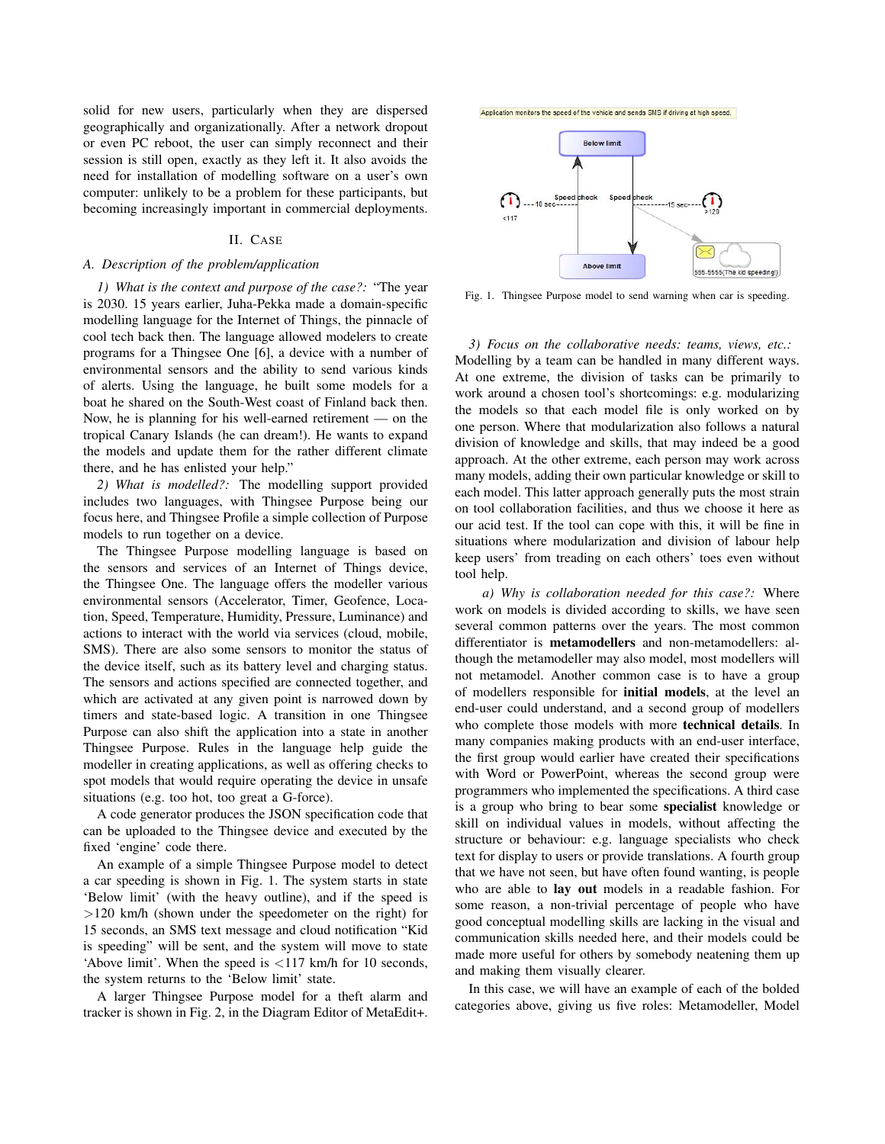solid for new users, particularly when they are dispersed geographically and organizationally. After a network dropout or even PC reboot, the user can simply reconnect and their session is still open, exactly as they left it. It also avoids the need for installation of modelling software on a user's own computer: unlikely to be a problem for these participants, but becoming increasingly important in commercial deployments.

# II. CASE

# *A. Description of the problem/application*

*1) What is the context and purpose of the case?:* "The year is 2030. 15 years earlier, Juha-Pekka made a domain-specific modelling language for the Internet of Things, the pinnacle of cool tech back then. The language allowed modelers to create programs for a Thingsee One [6], a device with a number of environmental sensors and the ability to send various kinds of alerts. Using the language, he built some models for a boat he shared on the South-West coast of Finland back then. Now, he is planning for his well-earned retirement — on the tropical Canary Islands (he can dream!). He wants to expand the models and update them for the rather different climate there, and he has enlisted your help."

*2) What is modelled?:* The modelling support provided includes two languages, with Thingsee Purpose being our focus here, and Thingsee Profile a simple collection of Purpose models to run together on a device.

The Thingsee Purpose modelling language is based on the sensors and services of an Internet of Things device, the Thingsee One. The language offers the modeller various environmental sensors (Accelerator, Timer, Geofence, Location, Speed, Temperature, Humidity, Pressure, Luminance) and actions to interact with the world via services (cloud, mobile, SMS). There are also some sensors to monitor the status of the device itself, such as its battery level and charging status. The sensors and actions specified are connected together, and which are activated at any given point is narrowed down by timers and state-based logic. A transition in one Thingsee Purpose can also shift the application into a state in another Thingsee Purpose. Rules in the language help guide the modeller in creating applications, as well as offering checks to spot models that would require operating the device in unsafe situations (e.g. too hot, too great a G-force).

A code generator produces the JSON specification code that can be uploaded to the Thingsee device and executed by the fixed 'engine' code there.

An example of a simple Thingsee Purpose model to detect a car speeding is shown in Fig. 1. The system starts in state 'Below limit' (with the heavy outline), and if the speed is >120 km/h (shown under the speedometer on the right) for 15 seconds, an SMS text message and cloud notification "Kid is speeding" will be sent, and the system will move to state 'Above limit'. When the speed is <117 km/h for 10 seconds, the system returns to the 'Below limit' state.

A larger Thingsee Purpose model for a theft alarm and tracker is shown in Fig. 2, in the Diagram Editor of MetaEdit+.





Fig. 1. Thingsee Purpose model to send warning when car is speeding.

*3) Focus on the collaborative needs: teams, views, etc.:* Modelling by a team can be handled in many different ways. At one extreme, the division of tasks can be primarily to work around a chosen tool's shortcomings: e.g. modularizing the models so that each model file is only worked on by one person. Where that modularization also follows a natural division of knowledge and skills, that may indeed be a good approach. At the other extreme, each person may work across many models, adding their own particular knowledge or skill to each model. This latter approach generally puts the most strain on tool collaboration facilities, and thus we choose it here as our acid test. If the tool can cope with this, it will be fine in situations where modularization and division of labour help keep users' from treading on each others' toes even without tool help.

*a) Why is collaboration needed for this case?:* Where work on models is divided according to skills, we have seen several common patterns over the years. The most common differentiator is metamodellers and non-metamodellers: although the metamodeller may also model, most modellers will not metamodel. Another common case is to have a group of modellers responsible for initial models, at the level an end-user could understand, and a second group of modellers who complete those models with more technical details. In many companies making products with an end-user interface, the first group would earlier have created their specifications with Word or PowerPoint, whereas the second group were programmers who implemented the specifications. A third case is a group who bring to bear some specialist knowledge or skill on individual values in models, without affecting the structure or behaviour: e.g. language specialists who check text for display to users or provide translations. A fourth group that we have not seen, but have often found wanting, is people who are able to lay out models in a readable fashion. For some reason, a non-trivial percentage of people who have good conceptual modelling skills are lacking in the visual and communication skills needed here, and their models could be made more useful for others by somebody neatening them up and making them visually clearer.

In this case, we will have an example of each of the bolded categories above, giving us five roles: Metamodeller, Model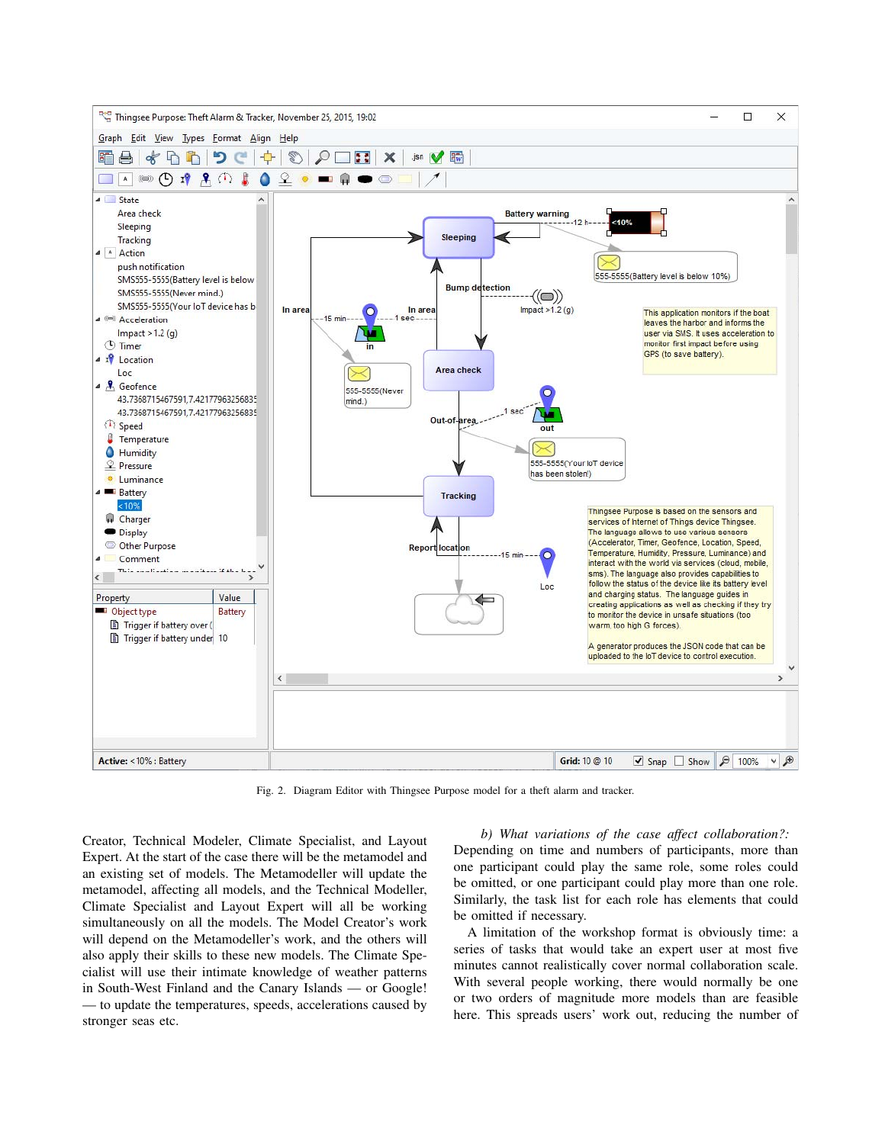

Fig. 2. Diagram Editor with Thingsee Purpose model for a theft alarm and tracker.

Creator, Technical Modeler, Climate Specialist, and Layout Expert. At the start of the case there will be the metamodel and an existing set of models. The Metamodeller will update the metamodel, affecting all models, and the Technical Modeller, Climate Specialist and Layout Expert will all be working simultaneously on all the models. The Model Creator's work will depend on the Metamodeller's work, and the others will also apply their skills to these new models. The Climate Specialist will use their intimate knowledge of weather patterns in South-West Finland and the Canary Islands — or Google! — to update the temperatures, speeds, accelerations caused by stronger seas etc.

*b) What variations of the case affect collaboration?:* Depending on time and numbers of participants, more than one participant could play the same role, some roles could be omitted, or one participant could play more than one role. Similarly, the task list for each role has elements that could be omitted if necessary.

A limitation of the workshop format is obviously time: a series of tasks that would take an expert user at most five minutes cannot realistically cover normal collaboration scale. With several people working, there would normally be one or two orders of magnitude more models than are feasible here. This spreads users' work out, reducing the number of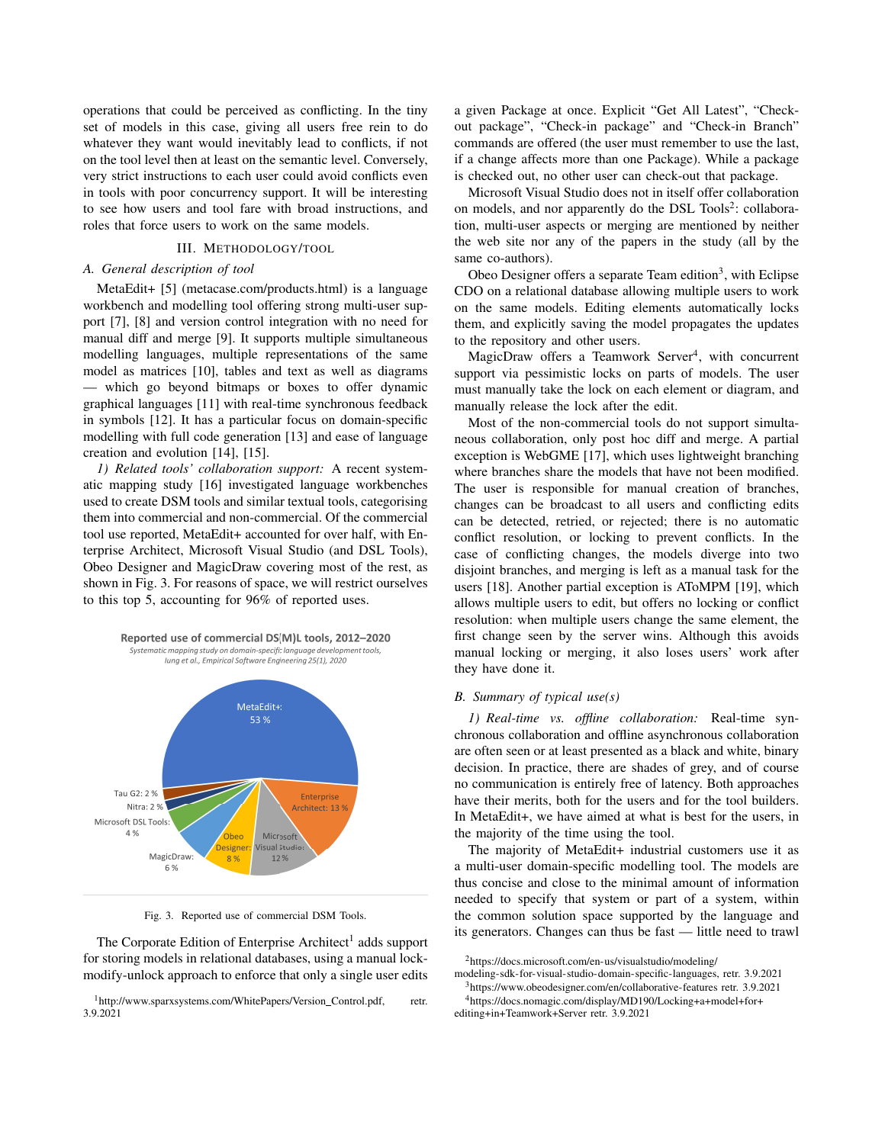operations that could be perceived as conflicting. In the tiny set of models in this case, giving all users free rein to do whatever they want would inevitably lead to conflicts, if not on the tool level then at least on the semantic level. Conversely, very strict instructions to each user could avoid conflicts even in tools with poor concurrency support. It will be interesting to see how users and tool fare with broad instructions, and roles that force users to work on the same models.

## III. METHODOLOGY/TOOL

# *A. General description of tool*

MetaEdit+ [5] (metacase.com/products.html) is a language workbench and modelling tool offering strong multi-user support [7], [8] and version control integration with no need for manual diff and merge [9]. It supports multiple simultaneous modelling languages, multiple representations of the same model as matrices [10], tables and text as well as diagrams — which go beyond bitmaps or boxes to offer dynamic graphical languages [11] with real-time synchronous feedback in symbols [12]. It has a particular focus on domain-specific modelling with full code generation [13] and ease of language creation and evolution [14], [15].

*1) Related tools' collaboration support:* A recent systematic mapping study [16] investigated language workbenches used to create DSM tools and similar textual tools, categorising them into commercial and non-commercial. Of the commercial tool use reported, MetaEdit+ accounted for over half, with Enterprise Architect, Microsoft Visual Studio (and DSL Tools), Obeo Designer and MagicDraw covering most of the rest, as shown in Fig. 3. For reasons of space, we will restrict ourselves to this top 5, accounting for 96% of reported uses.



Fig. 3. Reported use of commercial DSM Tools.

The Corporate Edition of Enterprise Architect<sup>1</sup> adds support for storing models in relational databases, using a manual lockmodify-unlock approach to enforce that only a single user edits

<sup>1</sup>http://www.sparxsystems.com/WhitePapers/Version\_Control.pdf, retr. 3.9.2021

a given Package at once. Explicit "Get All Latest", "Checkout package", "Check-in package" and "Check-in Branch" commands are offered (the user must remember to use the last, if a change affects more than one Package). While a package is checked out, no other user can check-out that package.

Microsoft Visual Studio does not in itself offer collaboration on models, and nor apparently do the DSL Tools<sup>2</sup>: collaboration, multi-user aspects or merging are mentioned by neither the web site nor any of the papers in the study (all by the same co-authors).

Obeo Designer offers a separate Team edition<sup>3</sup>, with Eclipse CDO on a relational database allowing multiple users to work on the same models. Editing elements automatically locks them, and explicitly saving the model propagates the updates to the repository and other users.

MagicDraw offers a Teamwork Server<sup>4</sup>, with concurrent support via pessimistic locks on parts of models. The user must manually take the lock on each element or diagram, and manually release the lock after the edit.

Most of the non-commercial tools do not support simultaneous collaboration, only post hoc diff and merge. A partial exception is WebGME [17], which uses lightweight branching where branches share the models that have not been modified. The user is responsible for manual creation of branches, changes can be broadcast to all users and conflicting edits can be detected, retried, or rejected; there is no automatic conflict resolution, or locking to prevent conflicts. In the case of conflicting changes, the models diverge into two disjoint branches, and merging is left as a manual task for the users [18]. Another partial exception is AToMPM [19], which allows multiple users to edit, but offers no locking or conflict resolution: when multiple users change the same element, the first change seen by the server wins. Although this avoids manual locking or merging, it also loses users' work after they have done it.

## *B. Summary of typical use(s)*

*1) Real-time vs. offline collaboration:* Real-time synchronous collaboration and offline asynchronous collaboration are often seen or at least presented as a black and white, binary decision. In practice, there are shades of grey, and of course no communication is entirely free of latency. Both approaches have their merits, both for the users and for the tool builders. In MetaEdit+, we have aimed at what is best for the users, in the majority of the time using the tool.

The majority of MetaEdit+ industrial customers use it as a multi-user domain-specific modelling tool. The models are thus concise and close to the minimal amount of information needed to specify that system or part of a system, within the common solution space supported by the language and its generators. Changes can thus be fast — little need to trawl

modeling-sdk-for-visual-studio-domain-specific-languages, retr. 3.9.2021 3https://www.obeodesigner.com/en/collaborative-features retr. 3.9.2021 4https://docs.nomagic.com/display/MD190/Locking+a+model+for+

editing+in+Teamwork+Server retr. 3.9.2021

<sup>2</sup>https://docs.microsoft.com/en-us/visualstudio/modeling/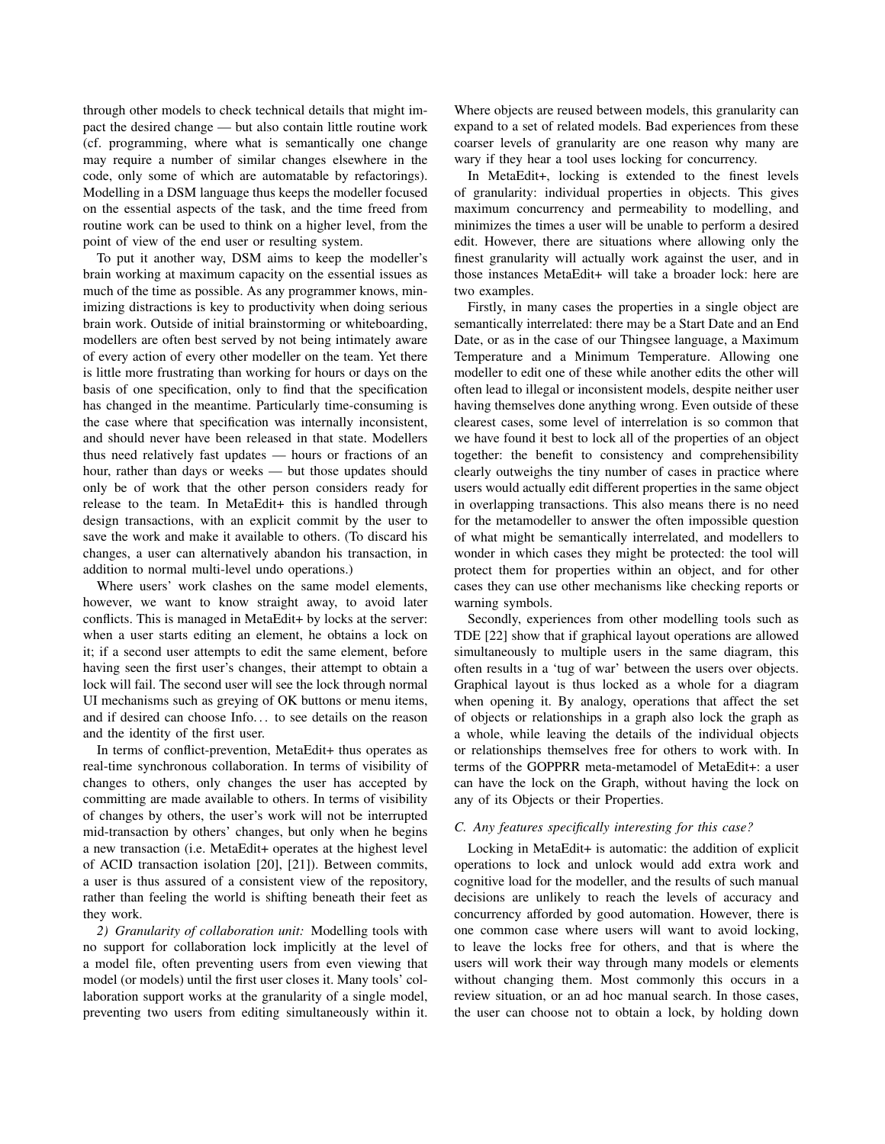through other models to check technical details that might impact the desired change — but also contain little routine work (cf. programming, where what is semantically one change may require a number of similar changes elsewhere in the code, only some of which are automatable by refactorings). Modelling in a DSM language thus keeps the modeller focused on the essential aspects of the task, and the time freed from routine work can be used to think on a higher level, from the point of view of the end user or resulting system.

To put it another way, DSM aims to keep the modeller's brain working at maximum capacity on the essential issues as much of the time as possible. As any programmer knows, minimizing distractions is key to productivity when doing serious brain work. Outside of initial brainstorming or whiteboarding, modellers are often best served by not being intimately aware of every action of every other modeller on the team. Yet there is little more frustrating than working for hours or days on the basis of one specification, only to find that the specification has changed in the meantime. Particularly time-consuming is the case where that specification was internally inconsistent, and should never have been released in that state. Modellers thus need relatively fast updates — hours or fractions of an hour, rather than days or weeks — but those updates should only be of work that the other person considers ready for release to the team. In MetaEdit+ this is handled through design transactions, with an explicit commit by the user to save the work and make it available to others. (To discard his changes, a user can alternatively abandon his transaction, in addition to normal multi-level undo operations.)

Where users' work clashes on the same model elements, however, we want to know straight away, to avoid later conflicts. This is managed in MetaEdit+ by locks at the server: when a user starts editing an element, he obtains a lock on it; if a second user attempts to edit the same element, before having seen the first user's changes, their attempt to obtain a lock will fail. The second user will see the lock through normal UI mechanisms such as greying of OK buttons or menu items, and if desired can choose Info... to see details on the reason and the identity of the first user.

In terms of conflict-prevention, MetaEdit+ thus operates as real-time synchronous collaboration. In terms of visibility of changes to others, only changes the user has accepted by committing are made available to others. In terms of visibility of changes by others, the user's work will not be interrupted mid-transaction by others' changes, but only when he begins a new transaction (i.e. MetaEdit+ operates at the highest level of ACID transaction isolation [20], [21]). Between commits, a user is thus assured of a consistent view of the repository, rather than feeling the world is shifting beneath their feet as they work.

*2) Granularity of collaboration unit:* Modelling tools with no support for collaboration lock implicitly at the level of a model file, often preventing users from even viewing that model (or models) until the first user closes it. Many tools' collaboration support works at the granularity of a single model, preventing two users from editing simultaneously within it.

Where objects are reused between models, this granularity can expand to a set of related models. Bad experiences from these coarser levels of granularity are one reason why many are wary if they hear a tool uses locking for concurrency.

In MetaEdit+, locking is extended to the finest levels of granularity: individual properties in objects. This gives maximum concurrency and permeability to modelling, and minimizes the times a user will be unable to perform a desired edit. However, there are situations where allowing only the finest granularity will actually work against the user, and in those instances MetaEdit+ will take a broader lock: here are two examples.

Firstly, in many cases the properties in a single object are semantically interrelated: there may be a Start Date and an End Date, or as in the case of our Thingsee language, a Maximum Temperature and a Minimum Temperature. Allowing one modeller to edit one of these while another edits the other will often lead to illegal or inconsistent models, despite neither user having themselves done anything wrong. Even outside of these clearest cases, some level of interrelation is so common that we have found it best to lock all of the properties of an object together: the benefit to consistency and comprehensibility clearly outweighs the tiny number of cases in practice where users would actually edit different properties in the same object in overlapping transactions. This also means there is no need for the metamodeller to answer the often impossible question of what might be semantically interrelated, and modellers to wonder in which cases they might be protected: the tool will protect them for properties within an object, and for other cases they can use other mechanisms like checking reports or warning symbols.

Secondly, experiences from other modelling tools such as TDE [22] show that if graphical layout operations are allowed simultaneously to multiple users in the same diagram, this often results in a 'tug of war' between the users over objects. Graphical layout is thus locked as a whole for a diagram when opening it. By analogy, operations that affect the set of objects or relationships in a graph also lock the graph as a whole, while leaving the details of the individual objects or relationships themselves free for others to work with. In terms of the GOPPRR meta-metamodel of MetaEdit+: a user can have the lock on the Graph, without having the lock on any of its Objects or their Properties.

## *C. Any features specifically interesting for this case?*

Locking in MetaEdit+ is automatic: the addition of explicit operations to lock and unlock would add extra work and cognitive load for the modeller, and the results of such manual decisions are unlikely to reach the levels of accuracy and concurrency afforded by good automation. However, there is one common case where users will want to avoid locking, to leave the locks free for others, and that is where the users will work their way through many models or elements without changing them. Most commonly this occurs in a review situation, or an ad hoc manual search. In those cases, the user can choose not to obtain a lock, by holding down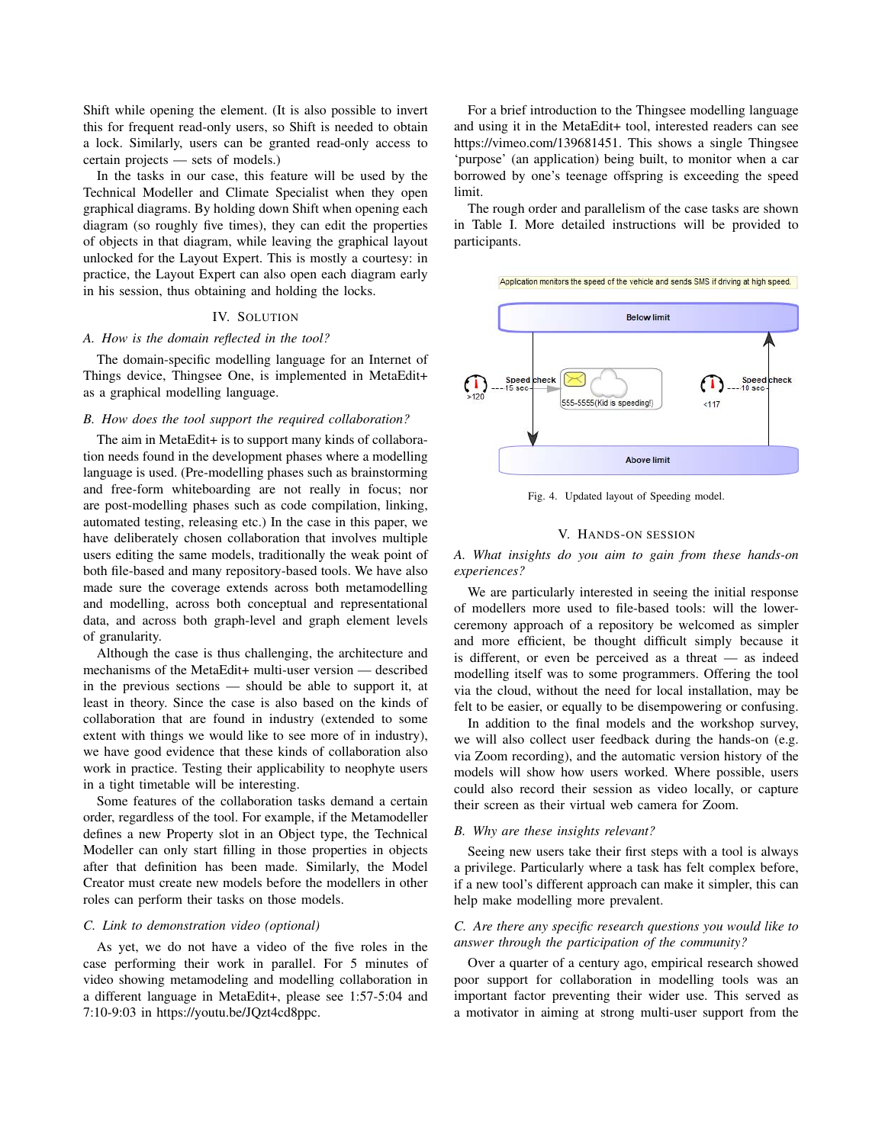Shift while opening the element. (It is also possible to invert this for frequent read-only users, so Shift is needed to obtain a lock. Similarly, users can be granted read-only access to certain projects — sets of models.)

In the tasks in our case, this feature will be used by the Technical Modeller and Climate Specialist when they open graphical diagrams. By holding down Shift when opening each diagram (so roughly five times), they can edit the properties of objects in that diagram, while leaving the graphical layout unlocked for the Layout Expert. This is mostly a courtesy: in practice, the Layout Expert can also open each diagram early in his session, thus obtaining and holding the locks.

# IV. SOLUTION

#### *A. How is the domain reflected in the tool?*

The domain-specific modelling language for an Internet of Things device, Thingsee One, is implemented in MetaEdit+ as a graphical modelling language.

# *B. How does the tool support the required collaboration?*

The aim in MetaEdit+ is to support many kinds of collaboration needs found in the development phases where a modelling language is used. (Pre-modelling phases such as brainstorming and free-form whiteboarding are not really in focus; nor are post-modelling phases such as code compilation, linking, automated testing, releasing etc.) In the case in this paper, we have deliberately chosen collaboration that involves multiple users editing the same models, traditionally the weak point of both file-based and many repository-based tools. We have also made sure the coverage extends across both metamodelling and modelling, across both conceptual and representational data, and across both graph-level and graph element levels of granularity.

Although the case is thus challenging, the architecture and mechanisms of the MetaEdit+ multi-user version — described in the previous sections — should be able to support it, at least in theory. Since the case is also based on the kinds of collaboration that are found in industry (extended to some extent with things we would like to see more of in industry), we have good evidence that these kinds of collaboration also work in practice. Testing their applicability to neophyte users in a tight timetable will be interesting.

Some features of the collaboration tasks demand a certain order, regardless of the tool. For example, if the Metamodeller defines a new Property slot in an Object type, the Technical Modeller can only start filling in those properties in objects after that definition has been made. Similarly, the Model Creator must create new models before the modellers in other roles can perform their tasks on those models.

#### *C. Link to demonstration video (optional)*

As yet, we do not have a video of the five roles in the case performing their work in parallel. For 5 minutes of video showing metamodeling and modelling collaboration in a different language in MetaEdit+, please see 1:57-5:04 and 7:10-9:03 in https://youtu.be/JQzt4cd8ppc.

For a brief introduction to the Thingsee modelling language and using it in the MetaEdit+ tool, interested readers can see https://vimeo.com/139681451. This shows a single Thingsee 'purpose' (an application) being built, to monitor when a car borrowed by one's teenage offspring is exceeding the speed limit.

The rough order and parallelism of the case tasks are shown in Table I. More detailed instructions will be provided to participants.





Fig. 4. Updated layout of Speeding model.

# V. HANDS-ON SESSION

*A. What insights do you aim to gain from these hands-on experiences?*

We are particularly interested in seeing the initial response of modellers more used to file-based tools: will the lowerceremony approach of a repository be welcomed as simpler and more efficient, be thought difficult simply because it is different, or even be perceived as a threat — as indeed modelling itself was to some programmers. Offering the tool via the cloud, without the need for local installation, may be felt to be easier, or equally to be disempowering or confusing.

In addition to the final models and the workshop survey, we will also collect user feedback during the hands-on (e.g. via Zoom recording), and the automatic version history of the models will show how users worked. Where possible, users could also record their session as video locally, or capture their screen as their virtual web camera for Zoom.

## *B. Why are these insights relevant?*

Seeing new users take their first steps with a tool is always a privilege. Particularly where a task has felt complex before, if a new tool's different approach can make it simpler, this can help make modelling more prevalent.

# *C. Are there any specific research questions you would like to answer through the participation of the community?*

Over a quarter of a century ago, empirical research showed poor support for collaboration in modelling tools was an important factor preventing their wider use. This served as a motivator in aiming at strong multi-user support from the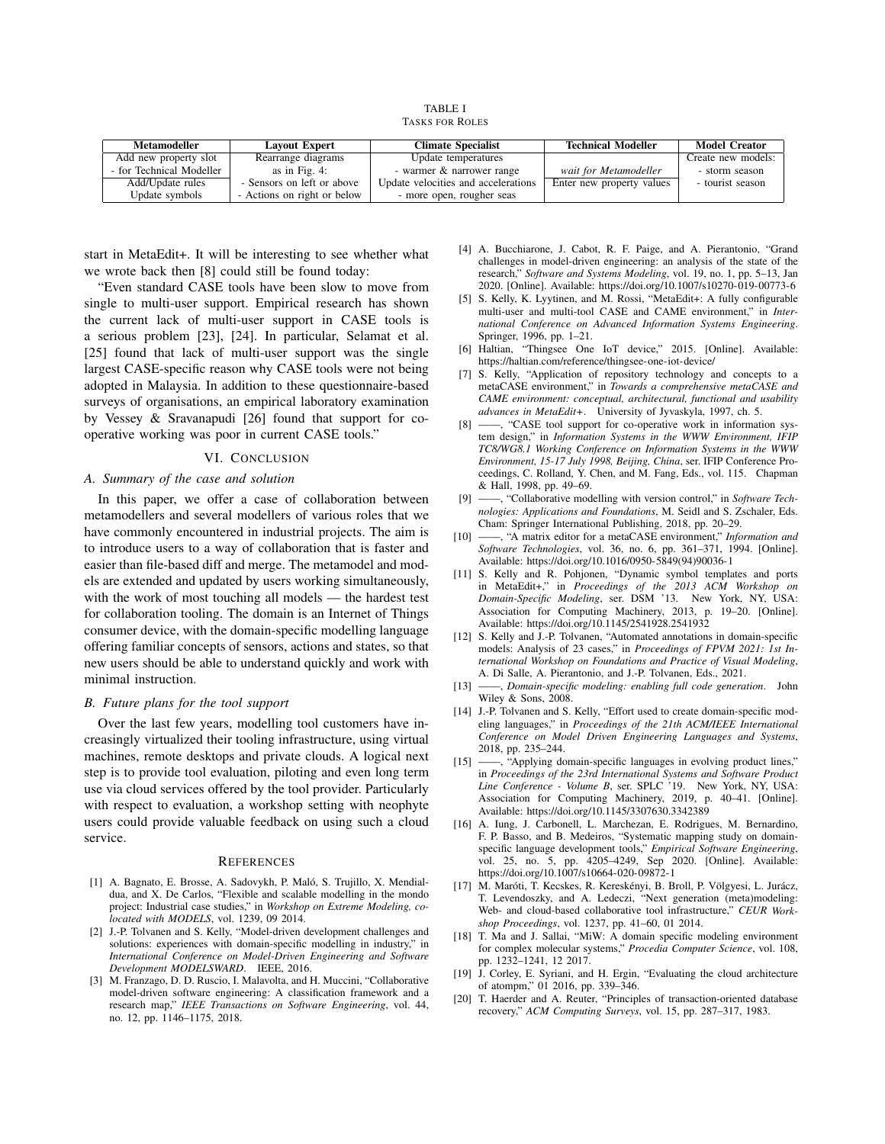TABLE I TASKS FOR ROLES

| Metamodeller             | <b>Layout Expert</b>        | <b>Climate Specialist</b>           | <b>Technical Modeller</b> | <b>Model Creator</b> |
|--------------------------|-----------------------------|-------------------------------------|---------------------------|----------------------|
| Add new property slot    | Rearrange diagrams          | Update temperatures                 |                           | Create new models:   |
| - for Technical Modeller | as in Fig. 4:               | - warmer & narrower range           | wait for Metamodeller     | - storm season       |
| Add/Update rules         | - Sensors on left or above  | Update velocities and accelerations | Enter new property values | - tourist season     |
| Update symbols           | - Actions on right or below | - more open, rougher seas           |                           |                      |

start in MetaEdit+. It will be interesting to see whether what we wrote back then [8] could still be found today:

"Even standard CASE tools have been slow to move from single to multi-user support. Empirical research has shown the current lack of multi-user support in CASE tools is a serious problem [23], [24]. In particular, Selamat et al. [25] found that lack of multi-user support was the single largest CASE-specific reason why CASE tools were not being adopted in Malaysia. In addition to these questionnaire-based surveys of organisations, an empirical laboratory examination by Vessey & Sravanapudi [26] found that support for cooperative working was poor in current CASE tools."

#### VI. CONCLUSION

#### *A. Summary of the case and solution*

In this paper, we offer a case of collaboration between metamodellers and several modellers of various roles that we have commonly encountered in industrial projects. The aim is to introduce users to a way of collaboration that is faster and easier than file-based diff and merge. The metamodel and models are extended and updated by users working simultaneously, with the work of most touching all models — the hardest test for collaboration tooling. The domain is an Internet of Things consumer device, with the domain-specific modelling language offering familiar concepts of sensors, actions and states, so that new users should be able to understand quickly and work with minimal instruction.

#### *B. Future plans for the tool support*

Over the last few years, modelling tool customers have increasingly virtualized their tooling infrastructure, using virtual machines, remote desktops and private clouds. A logical next step is to provide tool evaluation, piloting and even long term use via cloud services offered by the tool provider. Particularly with respect to evaluation, a workshop setting with neophyte users could provide valuable feedback on using such a cloud service.

#### **REFERENCES**

- [1] A. Bagnato, E. Brosse, A. Sadovykh, P. Malo, S. Trujillo, X. Mendial- ´ dua, and X. De Carlos, "Flexible and scalable modelling in the mondo project: Industrial case studies," in *Workshop on Extreme Modeling, colocated with MODELS*, vol. 1239, 09 2014.
- [2] J.-P. Tolvanen and S. Kelly, "Model-driven development challenges and solutions: experiences with domain-specific modelling in industry," in *International Conference on Model-Driven Engineering and Software Development MODELSWARD*. IEEE, 2016.
- [3] M. Franzago, D. D. Ruscio, I. Malavolta, and H. Muccini, "Collaborative model-driven software engineering: A classification framework and a research map," *IEEE Transactions on Software Engineering*, vol. 44, no. 12, pp. 1146–1175, 2018.
- [4] A. Bucchiarone, J. Cabot, R. F. Paige, and A. Pierantonio, "Grand challenges in model-driven engineering: an analysis of the state of the research," *Software and Systems Modeling*, vol. 19, no. 1, pp. 5–13, Jan 2020. [Online]. Available: https://doi.org/10.1007/s10270-019-00773-6
- [5] S. Kelly, K. Lyytinen, and M. Rossi, "MetaEdit+: A fully configurable multi-user and multi-tool CASE and CAME environment," in *International Conference on Advanced Information Systems Engineering*. Springer, 1996, pp. 1–21.
- [6] Haltian, "Thingsee One IoT device," 2015. [Online]. Available: https://haltian.com/reference/thingsee-one-iot-device/
- [7] S. Kelly, "Application of repository technology and concepts to a metaCASE environment," in *Towards a comprehensive metaCASE and CAME environment: conceptual, architectural, functional and usability advances in MetaEdit+*. University of Jyvaskyla, 1997, ch. 5.
- [8] ——, "CASE tool support for co-operative work in information system design," in *Information Systems in the WWW Environment, IFIP TC8/WG8.1 Working Conference on Information Systems in the WWW Environment, 15-17 July 1998, Beijing, China*, ser. IFIP Conference Proceedings, C. Rolland, Y. Chen, and M. Fang, Eds., vol. 115. Chapman & Hall, 1998, pp. 49–69.
- [9] ——, "Collaborative modelling with version control," in *Software Technologies: Applications and Foundations*, M. Seidl and S. Zschaler, Eds. Cham: Springer International Publishing, 2018, pp. 20–29.
- [10] ——, "A matrix editor for a metaCASE environment," *Information and Software Technologies*, vol. 36, no. 6, pp. 361–371, 1994. [Online]. Available: https://doi.org/10.1016/0950-5849(94)90036-1
- [11] S. Kelly and R. Pohjonen, "Dynamic symbol templates and ports in MetaEdit+," in *Proceedings of the 2013 ACM Workshop on Domain-Specific Modeling*, ser. DSM '13. New York, NY, USA: Association for Computing Machinery, 2013, p. 19–20. [Online]. Available: https://doi.org/10.1145/2541928.2541932
- [12] S. Kelly and J.-P. Tolvanen, "Automated annotations in domain-specific models: Analysis of 23 cases," in *Proceedings of FPVM 2021: 1st International Workshop on Foundations and Practice of Visual Modeling*, A. Di Salle, A. Pierantonio, and J.-P. Tolvanen, Eds., 2021.
- [13] ——, *Domain-specific modeling: enabling full code generation*. John Wiley & Sons, 2008.
- [14] J.-P. Tolvanen and S. Kelly, "Effort used to create domain-specific modeling languages," in *Proceedings of the 21th ACM/IEEE International Conference on Model Driven Engineering Languages and Systems*, 2018, pp. 235–244.
- [15] ——, "Applying domain-specific languages in evolving product lines," in *Proceedings of the 23rd International Systems and Software Product Line Conference - Volume B*, ser. SPLC '19. New York, NY, USA: Association for Computing Machinery, 2019, p. 40–41. [Online]. Available: https://doi.org/10.1145/3307630.3342389
- [16] A. Iung, J. Carbonell, L. Marchezan, E. Rodrigues, M. Bernardino, F. P. Basso, and B. Medeiros, "Systematic mapping study on domainspecific language development tools," *Empirical Software Engineering*, vol. 25, no. 5, pp. 4205–4249, Sep 2020. [Online]. Available: https://doi.org/10.1007/s10664-020-09872-1
- [17] M. Maróti, T. Kecskes, R. Kereskényi, B. Broll, P. Völgyesi, L. Jurácz, T. Levendoszky, and A. Ledeczi, "Next generation (meta)modeling: Web- and cloud-based collaborative tool infrastructure," *CEUR Workshop Proceedings*, vol. 1237, pp. 41–60, 01 2014.
- [18] T. Ma and J. Sallai, "MiW: A domain specific modeling environment for complex molecular systems," *Procedia Computer Science*, vol. 108, pp. 1232–1241, 12 2017.
- [19] J. Corley, E. Syriani, and H. Ergin, "Evaluating the cloud architecture of atompm," 01 2016, pp. 339–346.
- [20] T. Haerder and A. Reuter, "Principles of transaction-oriented database recovery," *ACM Computing Surveys*, vol. 15, pp. 287–317, 1983.